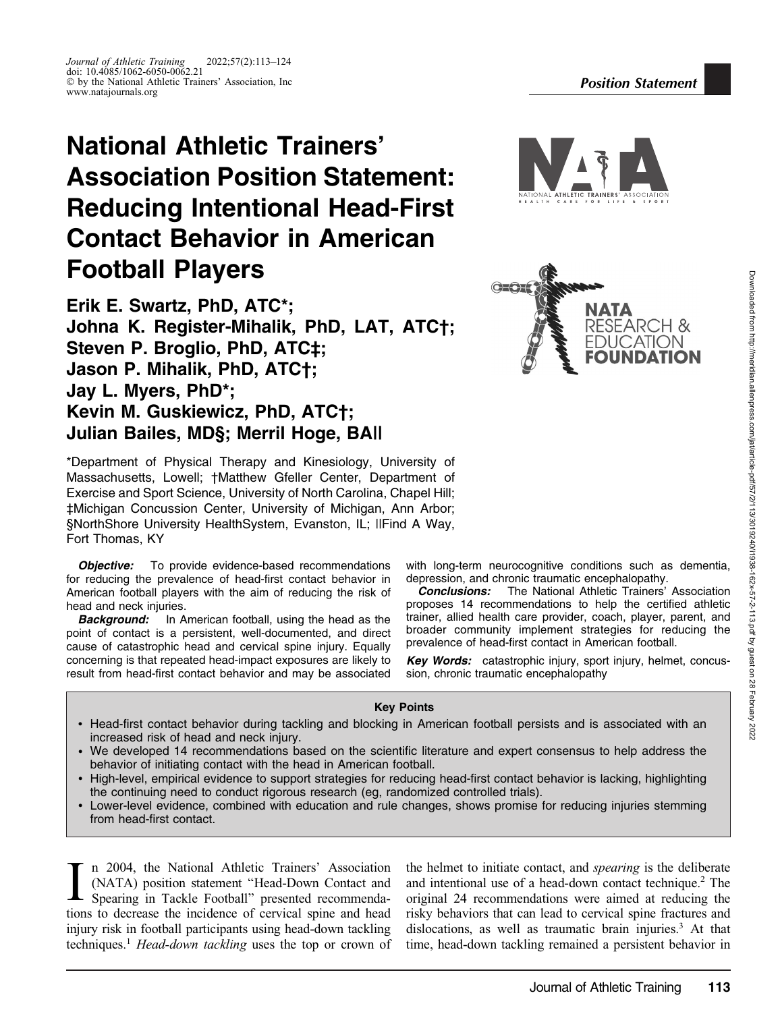# National Athletic Trainers' Association Position Statement: Reducing Intentional Head-First Contact Behavior in American Football Players

Erik E. Swartz, PhD, ATC\*; Johna K. Register-Mihalik, PhD, LAT, ATC†; Steven P. Broglio, PhD, ATC‡; Jason P. Mihalik, PhD, ATC†; Jay L. Myers, PhD\*; Kevin M. Guskiewicz, PhD, ATC†; Julian Bailes, MD§; Merril Hoge, BA||

\*Department of Physical Therapy and Kinesiology, University of Massachusetts, Lowell; †Matthew Gfeller Center, Department of Exercise and Sport Science, University of North Carolina, Chapel Hill; ‡Michigan Concussion Center, University of Michigan, Ann Arbor; §NorthShore University HealthSystem, Evanston, IL; ||Find A Way, Fort Thomas, KY

**Objective:** To provide evidence-based recommendations for reducing the prevalence of head-first contact behavior in American football players with the aim of reducing the risk of head and neck injuries.

**Background:** In American football, using the head as the point of contact is a persistent, well-documented, and direct cause of catastrophic head and cervical spine injury. Equally concerning is that repeated head-impact exposures are likely to result from head-first contact behavior and may be associated with long-term neurocognitive conditions such as dementia, depression, and chronic traumatic encephalopathy.

**Conclusions:** The National Athletic Trainers' Association proposes 14 recommendations to help the certified athletic trainer, allied health care provider, coach, player, parent, and broader community implement strategies for reducing the prevalence of head-first contact in American football.

Key Words: catastrophic injury, sport injury, helmet, concussion, chronic traumatic encephalopathy

## Key Points

- Head-first contact behavior during tackling and blocking in American football persists and is associated with an increased risk of head and neck injury.
- We developed 14 recommendations based on the scientific literature and expert consensus to help address the behavior of initiating contact with the head in American football.
- High-level, empirical evidence to support strategies for reducing head-first contact behavior is lacking, highlighting the continuing need to conduct rigorous research (eg, randomized controlled trials).
- Lower-level evidence, combined with education and rule changes, shows promise for reducing injuries stemming from head-first contact.

In 2004, the National Athletic Trainers' Association (NATA) position statement "Head-Down Contact and Spearing in Tackle Football" presented recommendations to decrease the incidence of cervical spine and head n 2004, the National Athletic Trainers' Association (NATA) position statement ''Head-Down Contact and Spearing in Tackle Football'' presented recommendainjury risk in football participants using head-down tackling techniques.<sup>1</sup> Head-down tackling uses the top or crown of

the helmet to initiate contact, and spearing is the deliberate and intentional use of a head-down contact technique.<sup>2</sup> The original 24 recommendations were aimed at reducing the risky behaviors that can lead to cervical spine fractures and dislocations, as well as traumatic brain injuries.<sup>3</sup> At that time, head-down tackling remained a persistent behavior in



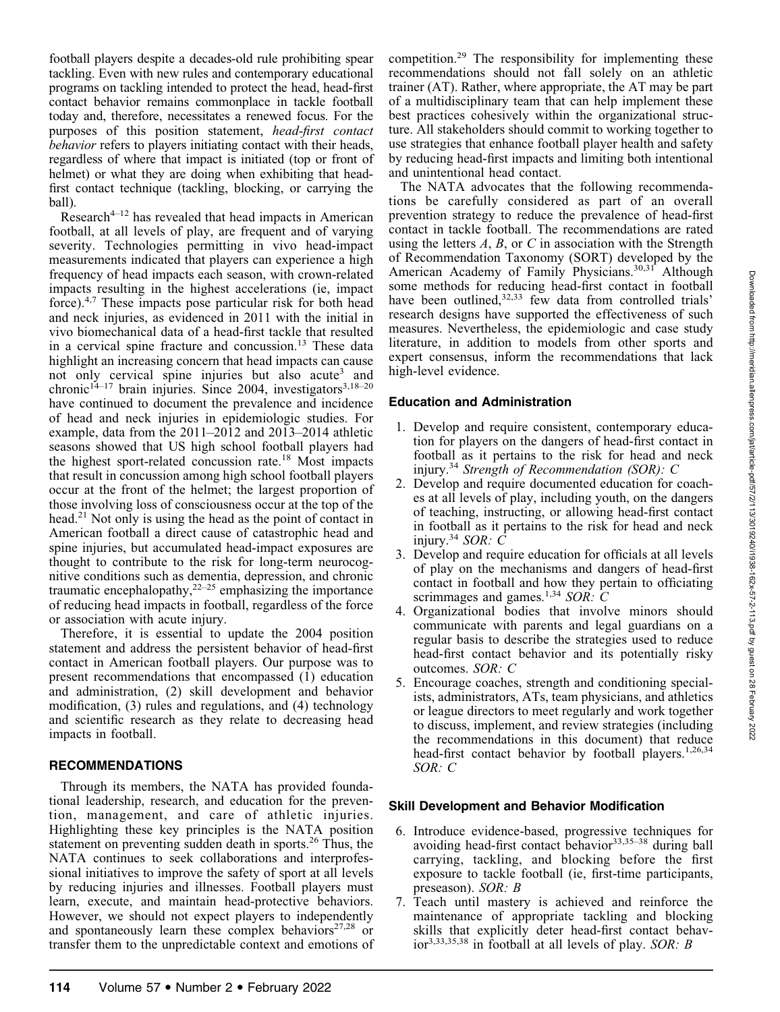football players despite a decades-old rule prohibiting spear tackling. Even with new rules and contemporary educational programs on tackling intended to protect the head, head-first contact behavior remains commonplace in tackle football today and, therefore, necessitates a renewed focus. For the purposes of this position statement, head-first contact behavior refers to players initiating contact with their heads, regardless of where that impact is initiated (top or front of helmet) or what they are doing when exhibiting that headfirst contact technique (tackling, blocking, or carrying the ball).

Research<sup> $4-12$ </sup> has revealed that head impacts in American football, at all levels of play, are frequent and of varying severity. Technologies permitting in vivo head-impact measurements indicated that players can experience a high frequency of head impacts each season, with crown-related impacts resulting in the highest accelerations (ie, impact force).4,7 These impacts pose particular risk for both head and neck injuries, as evidenced in 2011 with the initial in vivo biomechanical data of a head-first tackle that resulted in a cervical spine fracture and concussion.<sup>13</sup> These data highlight an increasing concern that head impacts can cause not only cervical spine injuries but also acute<sup>3</sup> and chronic<sup>14–17</sup> brain injuries. Since 2004, investigators<sup>3,18–20</sup> have continued to document the prevalence and incidence of head and neck injuries in epidemiologic studies. For example, data from the 2011–2012 and 2013–2014 athletic seasons showed that US high school football players had the highest sport-related concussion rate.<sup>18</sup> Most impacts that result in concussion among high school football players occur at the front of the helmet; the largest proportion of those involving loss of consciousness occur at the top of the head.<sup>21</sup> Not only is using the head as the point of contact in American football a direct cause of catastrophic head and spine injuries, but accumulated head-impact exposures are thought to contribute to the risk for long-term neurocognitive conditions such as dementia, depression, and chronic traumatic encephalopathy, $2^{2-25}$  emphasizing the importance of reducing head impacts in football, regardless of the force or association with acute injury.

Therefore, it is essential to update the 2004 position statement and address the persistent behavior of head-first contact in American football players. Our purpose was to present recommendations that encompassed (1) education and administration, (2) skill development and behavior modification, (3) rules and regulations, and (4) technology and scientific research as they relate to decreasing head impacts in football.

#### RECOMMENDATIONS

Through its members, the NATA has provided foundational leadership, research, and education for the prevention, management, and care of athletic injuries. Highlighting these key principles is the NATA position statement on preventing sudden death in sports.<sup>26</sup> Thus, the NATA continues to seek collaborations and interprofessional initiatives to improve the safety of sport at all levels by reducing injuries and illnesses. Football players must learn, execute, and maintain head-protective behaviors. However, we should not expect players to independently and spontaneously learn these complex behaviors $27,28$  or transfer them to the unpredictable context and emotions of competition.<sup>29</sup> The responsibility for implementing these recommendations should not fall solely on an athletic trainer (AT). Rather, where appropriate, the AT may be part of a multidisciplinary team that can help implement these best practices cohesively within the organizational structure. All stakeholders should commit to working together to use strategies that enhance football player health and safety by reducing head-first impacts and limiting both intentional and unintentional head contact.

The NATA advocates that the following recommendations be carefully considered as part of an overall prevention strategy to reduce the prevalence of head-first contact in tackle football. The recommendations are rated using the letters  $A$ ,  $B$ , or  $C$  in association with the Strength of Recommendation Taxonomy (SORT) developed by the American Academy of Family Physicians.<sup>30,31</sup> Although some methods for reducing head-first contact in football have been outlined,<sup>32,33</sup> few data from controlled trials' research designs have supported the effectiveness of such measures. Nevertheless, the epidemiologic and case study literature, in addition to models from other sports and expert consensus, inform the recommendations that lack high-level evidence.

#### Education and Administration

- 1. Develop and require consistent, contemporary education for players on the dangers of head-first contact in football as it pertains to the risk for head and neck injury.<sup>34</sup> Strength of Recommendation (SOR): C
- 2. Develop and require documented education for coaches at all levels of play, including youth, on the dangers of teaching, instructing, or allowing head-first contact in football as it pertains to the risk for head and neck injury.<sup>34</sup> SOR:  $\overline{C}$
- 3. Develop and require education for officials at all levels of play on the mechanisms and dangers of head-first contact in football and how they pertain to officiating scrimmages and games.<sup>1,34</sup> SOR:  $\overrightarrow{C}$
- 4. Organizational bodies that involve minors should communicate with parents and legal guardians on a regular basis to describe the strategies used to reduce head-first contact behavior and its potentially risky outcomes. SOR: C
- 5. Encourage coaches, strength and conditioning specialists, administrators, ATs, team physicians, and athletics or league directors to meet regularly and work together to discuss, implement, and review strategies (including the recommendations in this document) that reduce head-first contact behavior by football players.<sup>1,26,34</sup> SOR: C

#### Skill Development and Behavior Modification

- 6. Introduce evidence-based, progressive techniques for avoiding head-first contact behavior<sup>33,35–38</sup> during ball carrying, tackling, and blocking before the first exposure to tackle football (ie, first-time participants, preseason). SOR: B
- 7. Teach until mastery is achieved and reinforce the maintenance of appropriate tackling and blocking skills that explicitly deter head-first contact behavior<sup>3,33,35,38</sup> in football at all levels of play. SOR: B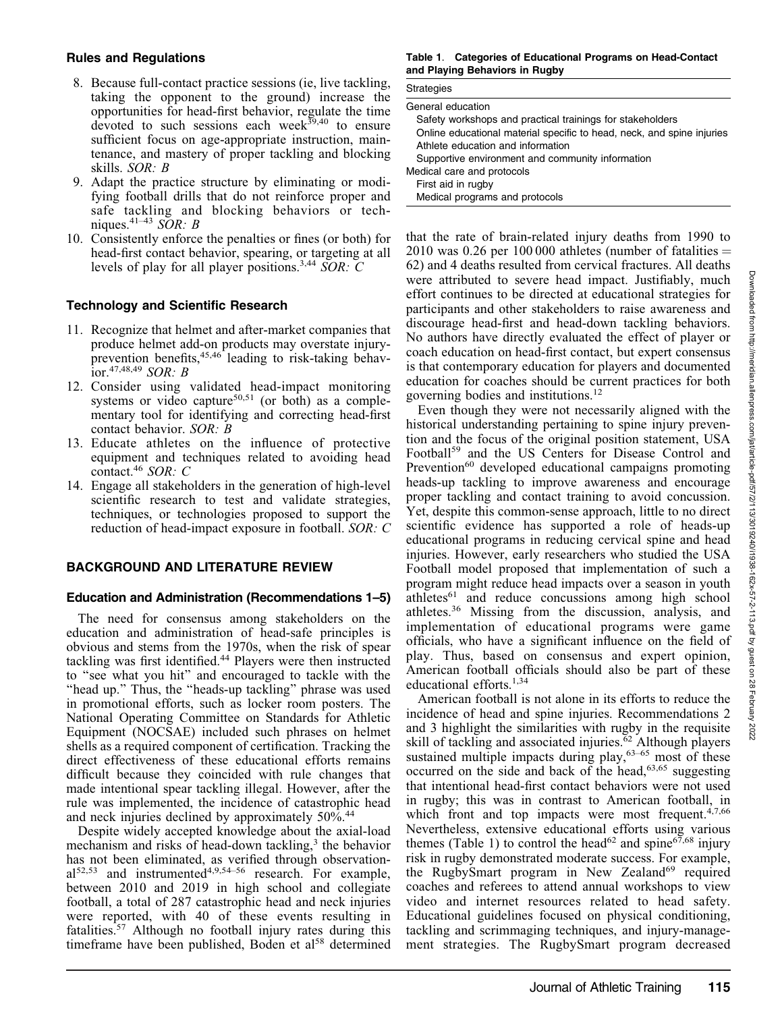# Rules and Regulations

- 8. Because full-contact practice sessions (ie, live tackling, taking the opponent to the ground) increase the opportunities for head-first behavior, regulate the time devoted to such sessions each week<sup>39,40</sup> to ensure sufficient focus on age-appropriate instruction, maintenance, and mastery of proper tackling and blocking skills. SOR: B
- 9. Adapt the practice structure by eliminating or modifying football drills that do not reinforce proper and safe tackling and blocking behaviors or techniques.<sup>41–43</sup> SOR: B
- 10. Consistently enforce the penalties or fines (or both) for head-first contact behavior, spearing, or targeting at all levels of play for all player positions.<sup>3,44</sup> SOR:  $\overline{C}$

# Technology and Scientific Research

- 11. Recognize that helmet and after-market companies that produce helmet add-on products may overstate injuryprevention benefits,<sup>45,46</sup> leading to risk-taking behavior.<sup>47,48,49</sup> SOR: B
- 12. Consider using validated head-impact monitoring systems or video capture<sup>50,51</sup> (or both) as a complementary tool for identifying and correcting head-first contact behavior. SOR: B
- 13. Educate athletes on the influence of protective equipment and techniques related to avoiding head contact.<sup>46</sup> SOR: C
- 14. Engage all stakeholders in the generation of high-level scientific research to test and validate strategies, techniques, or technologies proposed to support the reduction of head-impact exposure in football. SOR: C

# BACKGROUND AND LITERATURE REVIEW

## Education and Administration (Recommendations 1–5)

The need for consensus among stakeholders on the education and administration of head-safe principles is obvious and stems from the 1970s, when the risk of spear tackling was first identified.44 Players were then instructed to ''see what you hit'' and encouraged to tackle with the "head up." Thus, the "heads-up tackling" phrase was used in promotional efforts, such as locker room posters. The National Operating Committee on Standards for Athletic Equipment (NOCSAE) included such phrases on helmet shells as a required component of certification. Tracking the direct effectiveness of these educational efforts remains difficult because they coincided with rule changes that made intentional spear tackling illegal. However, after the rule was implemented, the incidence of catastrophic head and neck injuries declined by approximately 50%.<sup>44</sup>

Despite widely accepted knowledge about the axial-load mechanism and risks of head-down tackling,<sup>3</sup> the behavior has not been eliminated, as verified through observation $al^{52,53}$  and instrumented<sup>4,9,54–56</sup> research. For example, between 2010 and 2019 in high school and collegiate football, a total of 287 catastrophic head and neck injuries were reported, with 40 of these events resulting in fatalities.57 Although no football injury rates during this timeframe have been published, Boden et al<sup>58</sup> determined

Table 1. Categories of Educational Programs on Head-Contact and Playing Behaviors in Rugby

| <b>Strategies</b>                                                      |
|------------------------------------------------------------------------|
| General education                                                      |
| Safety workshops and practical trainings for stakeholders              |
| Online educational material specific to head, neck, and spine injuries |
| Athlete education and information                                      |
| Supportive environment and community information                       |
| Medical care and protocols                                             |
| First aid in rugby                                                     |
| Medical programs and protocols                                         |

that the rate of brain-related injury deaths from 1990 to 2010 was 0.26 per 100 000 athletes (number of fatalities  $=$ 62) and 4 deaths resulted from cervical fractures. All deaths were attributed to severe head impact. Justifiably, much effort continues to be directed at educational strategies for participants and other stakeholders to raise awareness and discourage head-first and head-down tackling behaviors. No authors have directly evaluated the effect of player or coach education on head-first contact, but expert consensus is that contemporary education for players and documented education for coaches should be current practices for both governing bodies and institutions.12

Even though they were not necessarily aligned with the historical understanding pertaining to spine injury prevention and the focus of the original position statement, USA Football<sup>59</sup> and the US Centers for Disease Control and Prevention<sup>60</sup> developed educational campaigns promoting heads-up tackling to improve awareness and encourage proper tackling and contact training to avoid concussion. Yet, despite this common-sense approach, little to no direct scientific evidence has supported a role of heads-up educational programs in reducing cervical spine and head injuries. However, early researchers who studied the USA Football model proposed that implementation of such a program might reduce head impacts over a season in youth  $athletes<sup>61</sup>$  and reduce concussions among high school athletes.<sup>36</sup> Missing from the discussion, analysis, and implementation of educational programs were game officials, who have a significant influence on the field of play. Thus, based on consensus and expert opinion, American football officials should also be part of these educational efforts.<sup>1,34</sup>

American football is not alone in its efforts to reduce the incidence of head and spine injuries. Recommendations 2 and 3 highlight the similarities with rugby in the requisite skill of tackling and associated injuries. $\overline{6}^2$  Although players sustained multiple impacts during play,<sup>63-65</sup> most of these occurred on the side and back of the head, $63,65$  suggesting that intentional head-first contact behaviors were not used in rugby; this was in contrast to American football, in which front and top impacts were most frequent.<sup>4,7,66</sup> Nevertheless, extensive educational efforts using various themes (Table 1) to control the head<sup>62</sup> and spine $67,68$  injury risk in rugby demonstrated moderate success. For example, the RugbySmart program in New Zealand<sup>69</sup> required coaches and referees to attend annual workshops to view video and internet resources related to head safety. Educational guidelines focused on physical conditioning, tackling and scrimmaging techniques, and injury-management strategies. The RugbySmart program decreased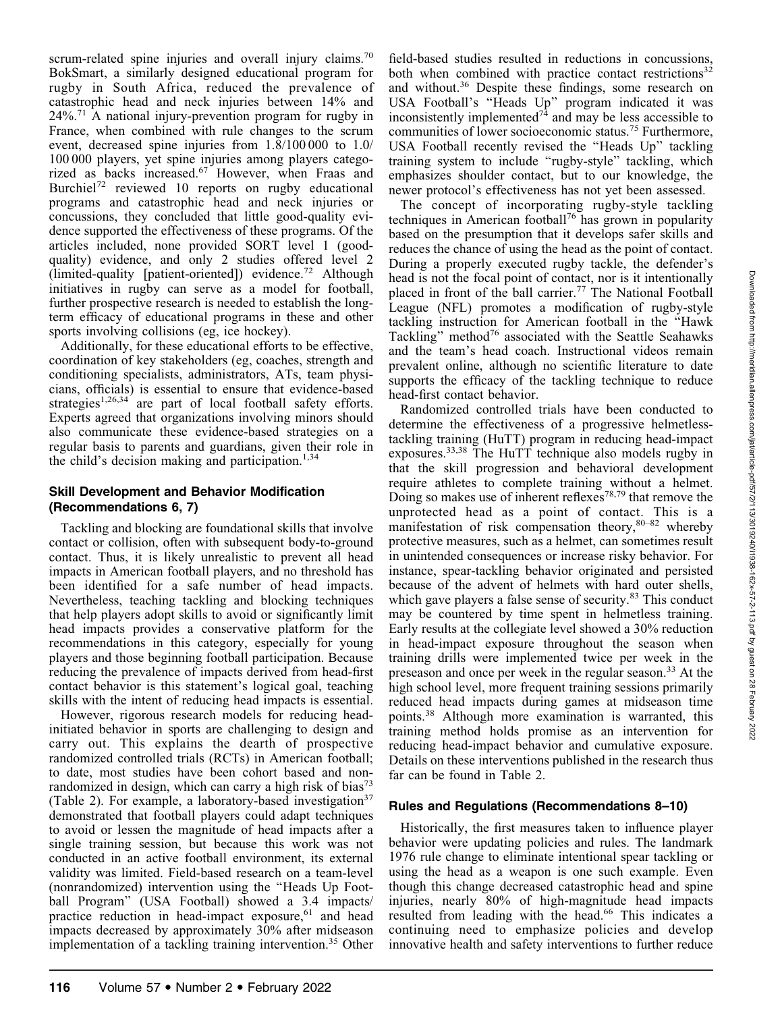scrum-related spine injuries and overall injury claims.<sup>70</sup> BokSmart, a similarly designed educational program for rugby in South Africa, reduced the prevalence of catastrophic head and neck injuries between 14% and  $24\%$ <sup>71</sup> A national injury-prevention program for rugby in France, when combined with rule changes to the scrum event, decreased spine injuries from 1.8/100 000 to 1.0/ 100 000 players, yet spine injuries among players categorized as backs increased.<sup>67</sup> However, when Fraas and Burchiel<sup>72</sup> reviewed 10 reports on rugby educational programs and catastrophic head and neck injuries or concussions, they concluded that little good-quality evidence supported the effectiveness of these programs. Of the articles included, none provided SORT level 1 (goodquality) evidence, and only 2 studies offered level 2 (limited-quality [patient-oriented]) evidence.<sup>72</sup> Although initiatives in rugby can serve as a model for football, further prospective research is needed to establish the longterm efficacy of educational programs in these and other sports involving collisions (eg, ice hockey).

Additionally, for these educational efforts to be effective, coordination of key stakeholders (eg, coaches, strength and conditioning specialists, administrators, ATs, team physicians, officials) is essential to ensure that evidence-based strategies<sup>1,26,34</sup> are part of local football safety efforts. Experts agreed that organizations involving minors should also communicate these evidence-based strategies on a regular basis to parents and guardians, given their role in the child's decision making and participation. $1,34$ 

# Skill Development and Behavior Modification (Recommendations 6, 7)

Tackling and blocking are foundational skills that involve contact or collision, often with subsequent body-to-ground contact. Thus, it is likely unrealistic to prevent all head impacts in American football players, and no threshold has been identified for a safe number of head impacts. Nevertheless, teaching tackling and blocking techniques that help players adopt skills to avoid or significantly limit head impacts provides a conservative platform for the recommendations in this category, especially for young players and those beginning football participation. Because reducing the prevalence of impacts derived from head-first contact behavior is this statement's logical goal, teaching skills with the intent of reducing head impacts is essential.

However, rigorous research models for reducing headinitiated behavior in sports are challenging to design and carry out. This explains the dearth of prospective randomized controlled trials (RCTs) in American football; to date, most studies have been cohort based and nonrandomized in design, which can carry a high risk of bias<sup>73</sup> (Table 2). For example, a laboratory-based investigation<sup>37</sup> demonstrated that football players could adapt techniques to avoid or lessen the magnitude of head impacts after a single training session, but because this work was not conducted in an active football environment, its external validity was limited. Field-based research on a team-level (nonrandomized) intervention using the ''Heads Up Football Program'' (USA Football) showed a 3.4 impacts/ practice reduction in head-impact exposure,<sup>61</sup> and head impacts decreased by approximately 30% after midseason implementation of a tackling training intervention.<sup>35</sup> Other field-based studies resulted in reductions in concussions, both when combined with practice contact restrictions<sup>32</sup> and without.<sup>36</sup> Despite these findings, some research on USA Football's ''Heads Up'' program indicated it was inconsistently implemented<sup> $74$ </sup> and may be less accessible to communities of lower socioeconomic status.<sup>75</sup> Furthermore, USA Football recently revised the ''Heads Up'' tackling training system to include ''rugby-style'' tackling, which emphasizes shoulder contact, but to our knowledge, the newer protocol's effectiveness has not yet been assessed.

The concept of incorporating rugby-style tackling techniques in American football76 has grown in popularity based on the presumption that it develops safer skills and reduces the chance of using the head as the point of contact. During a properly executed rugby tackle, the defender's head is not the focal point of contact, nor is it intentionally placed in front of the ball carrier.<sup>77</sup> The National Football League (NFL) promotes a modification of rugby-style tackling instruction for American football in the ''Hawk Tackling" method<sup>76</sup> associated with the Seattle Seahawks and the team's head coach. Instructional videos remain prevalent online, although no scientific literature to date supports the efficacy of the tackling technique to reduce head-first contact behavior.

Randomized controlled trials have been conducted to determine the effectiveness of a progressive helmetlesstackling training (HuTT) program in reducing head-impact exposures.33,38 The HuTT technique also models rugby in that the skill progression and behavioral development require athletes to complete training without a helmet. Doing so makes use of inherent reflexes<sup>78,79</sup> that remove the unprotected head as a point of contact. This is a manifestation of risk compensation theory,  $80-82$  whereby protective measures, such as a helmet, can sometimes result in unintended consequences or increase risky behavior. For instance, spear-tackling behavior originated and persisted because of the advent of helmets with hard outer shells, which gave players a false sense of security.<sup>83</sup> This conduct may be countered by time spent in helmetless training. Early results at the collegiate level showed a 30% reduction in head-impact exposure throughout the season when training drills were implemented twice per week in the preseason and once per week in the regular season.<sup>33</sup> At the high school level, more frequent training sessions primarily reduced head impacts during games at midseason time points.<sup>38</sup> Although more examination is warranted, this training method holds promise as an intervention for reducing head-impact behavior and cumulative exposure. Details on these interventions published in the research thus far can be found in Table 2.

# Rules and Regulations (Recommendations 8–10)

Historically, the first measures taken to influence player behavior were updating policies and rules. The landmark 1976 rule change to eliminate intentional spear tackling or using the head as a weapon is one such example. Even though this change decreased catastrophic head and spine injuries, nearly 80% of high-magnitude head impacts resulted from leading with the head.<sup>66</sup> This indicates a continuing need to emphasize policies and develop innovative health and safety interventions to further reduce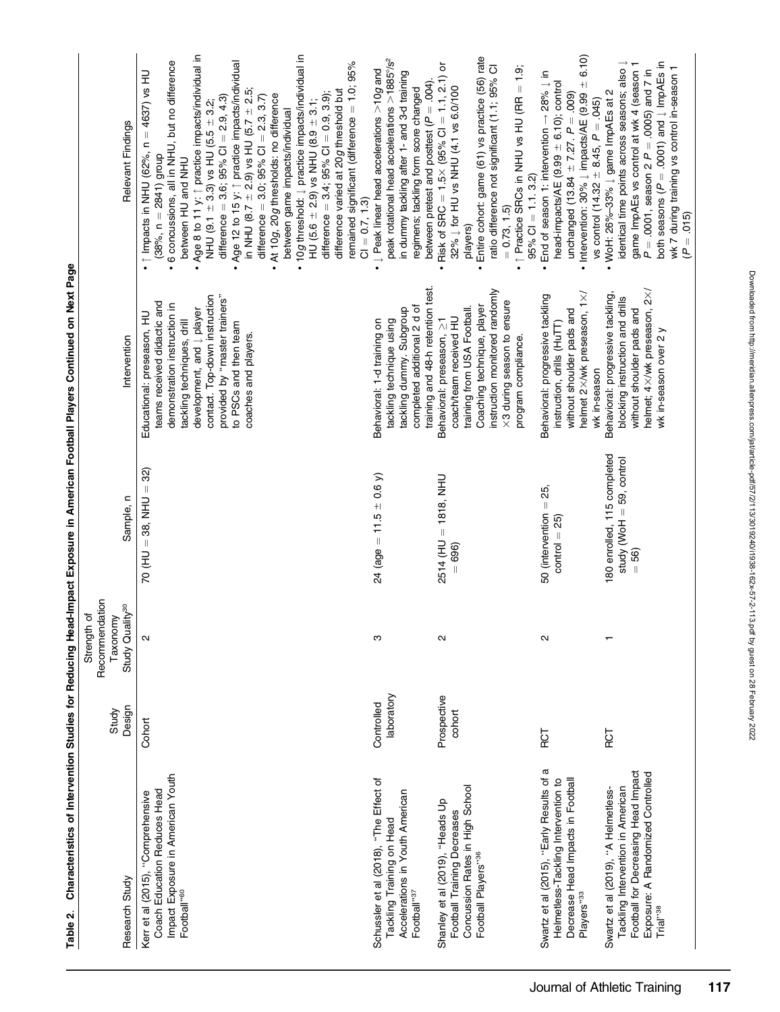|                                                                                                                                                                              | Study                    | Recommendation<br>Strength of<br>Taxonomy |                                                                   |                                                                                                                                                                                                                                                                                    |                                                                                                                                                                                                                                                                                                                                                                                                                                                                                                                                                                                                                                                                                                                                                                                                                           |
|------------------------------------------------------------------------------------------------------------------------------------------------------------------------------|--------------------------|-------------------------------------------|-------------------------------------------------------------------|------------------------------------------------------------------------------------------------------------------------------------------------------------------------------------------------------------------------------------------------------------------------------------|---------------------------------------------------------------------------------------------------------------------------------------------------------------------------------------------------------------------------------------------------------------------------------------------------------------------------------------------------------------------------------------------------------------------------------------------------------------------------------------------------------------------------------------------------------------------------------------------------------------------------------------------------------------------------------------------------------------------------------------------------------------------------------------------------------------------------|
| Research Study                                                                                                                                                               | Design                   | Study Quality <sup>30</sup>               | Sample, n                                                         | Intervention                                                                                                                                                                                                                                                                       | Relevant Findings                                                                                                                                                                                                                                                                                                                                                                                                                                                                                                                                                                                                                                                                                                                                                                                                         |
| Impact Exposure in American Youth<br>Coach Education Reduces Head<br>Kerr et al (2015), "Comprehensive<br>Football <sup>1960</sup>                                           | Cohort                   | $\sim$                                    | $70($ HU = 38, NHU = 32)                                          | provided by "master trainers"<br>contact. Top-down instruction<br>teams received didactic and<br>demonstration instruction in<br>development, and $\downarrow$ player<br>Educational: preseason, HU<br>tackling techniques, drill<br>to PSCs and then team<br>coaches and players. | • Age 8 to 11 y: ↑ practice impacts/individual in<br>NHU (9.1 ± 3.3) vs HU (5.5 ± 3.2;<br>10g threshold: Į practice impacts/individual in<br>· 6 concussions, all in NHU, but no difference<br>Age 12 to 15 y: 1 practice impacts/individual<br>remained significant (difference = 1.0; 95%<br>$= 4637$ ) vs HU<br>in NHU (8.7 $\pm$ 2.9) vs HU (5.7 $\pm$ 2.5;<br>difference varied at 20g threshold but<br>difference = $3.4$ ; $95\%$ Cl = 0.9, 3.9);<br>difference = $3.0$ ; $95\%$ Cl = $2.3$ , $3.7$ )<br>• At 10g, 20g thresholds: no difference<br>difference = $3.6$ ; $95\%$ Cl = $2.9$ , $4.3$ )<br>HU (5.6 $\pm$ 2.9) vs NHU (8.9 $\pm$ 3.1;<br>between game impacts/individual<br>· 1 Impacts in NHU (62%, n<br>$(38\%$ , n = 2841) group<br>between HU and NHU<br>$Cl = 0.7, 1.3$<br>$\bullet$<br>$\bullet$ |
| Schussler et al (2018), "The Effect of<br>Accelerations in Youth American<br>Tackling Training on Head<br>Football <sup>937</sup>                                            | laboratory<br>Controlled | ო                                         | $24 (age = 11.5 \pm 0.6)$                                         | training and 48-h retention test.<br>completed additional 2 d of<br>tackling dummy. Subgroup<br>tackling technique using<br>Behavioral: 1-d training on                                                                                                                            | peak rotational head accelerations >1885°/s <sup>2</sup><br>• $\downarrow$ Peak linear head accelerations $>$ 10g and<br>in dummy tackling after 1- and 3-d training<br>between pretest and posttest ( $P = .004$ ).<br>regimens; tackling form score changed                                                                                                                                                                                                                                                                                                                                                                                                                                                                                                                                                             |
| Concussion Rates in High School<br>Shanley et al (2019), "Heads Up<br>Football Training Decreases<br>Football Players" <sup>36</sup>                                         | Prospective<br>cohort    | 2                                         | 2514 (HU = 1818, NHU<br>$= 696$                                   | instruction monitored randomly<br>×3 during season to ensure<br>Coaching technique, player<br>training from USA Football.<br>coach/team received HU<br>Behavioral: preseason, 21<br>program compliance.                                                                            | Entire cohort: game (61) vs practice (56) rate<br>Risk of SRC = $1.5 \times (95\% \text{ CI} = 1.1, 2.1)$ or<br>ratio difference not significant (1.1; 95% CI<br>$\bullet$ $\uparrow$ Practice SRCs in NHU vs HU (RR = 1.9;<br>32%   for HU vs NHU (4.1 vs 6.0/100<br>$95\%$ Cl = 1.1.3.2)<br>$= 0.73, 1.5$<br>players)<br>$\bullet$<br>$\bullet$                                                                                                                                                                                                                                                                                                                                                                                                                                                                         |
| a<br>Swartz et al (2015), "Early Results of<br>Decrease Head Impacts in Football<br>Helmetless-Tackling Intervention to<br>Players"33                                        | 10R                      | N                                         | 50 (intervention $=$ 25,<br>$control = 25$                        | helmet 2×/wk preseason, 1×/<br>Behavioral: progressive tackling<br>without shoulder pads and<br>instruction, drills (HuTT)<br>wk in-season                                                                                                                                         | 6.10)<br>End of season 1: intervention $\rightarrow$ 28% $\downarrow$ in<br>head-impacts/AE (9.99 $\pm$ 6.10); control<br>• Intervention: 30% $\downarrow$ impacts/AE (9.99 $\pm$<br>unchanged (13.84 $\pm$ 7.27. $P = .009$ )<br>vs control (14.32 $\pm$ 8.45, $P = .045$ )<br>$\bullet$                                                                                                                                                                                                                                                                                                                                                                                                                                                                                                                                 |
| Football for Decreasing Head Impact<br>Exposure: A Randomized Controlled<br>Tackling Intervention in American<br>Swartz et al (2019), "A Helmetless-<br>Trial" <sup>38</sup> | FOT                      |                                           | 180 enrolled, 115 completed<br>study (WoH = 59, control<br>$= 56$ | helmet; 4×/wk preseason, 2×/<br>Behavioral: progressive tackling,<br>blocking instruction and drills<br>without shoulder pads and<br>wk in-season over 2 y                                                                                                                         | both seasons ( $P = .0001$ ) and $\downarrow$ ImpAEs in<br>identical time points across seasons; also $\downarrow$<br>game ImpAEs vs control at wk 4 (season 1<br>wk 7 during training vs control in-season 1<br>$P = .0001$ , season 2 $P = .0005$ ) and 7 in<br>• WoH: $26\% - 33\% \downarrow$ game ImpAEs at 2<br>$(P = .015)$                                                                                                                                                                                                                                                                                                                                                                                                                                                                                        |

Table 2. Characteristics of Intervention Studies for Reducing Head-Impact Exposure in American Football Players Continued on Next Page Table 2. Characteristics of Intervention Studies for Reducing Head-Impact Exposure in American Football Players Continued on Next Page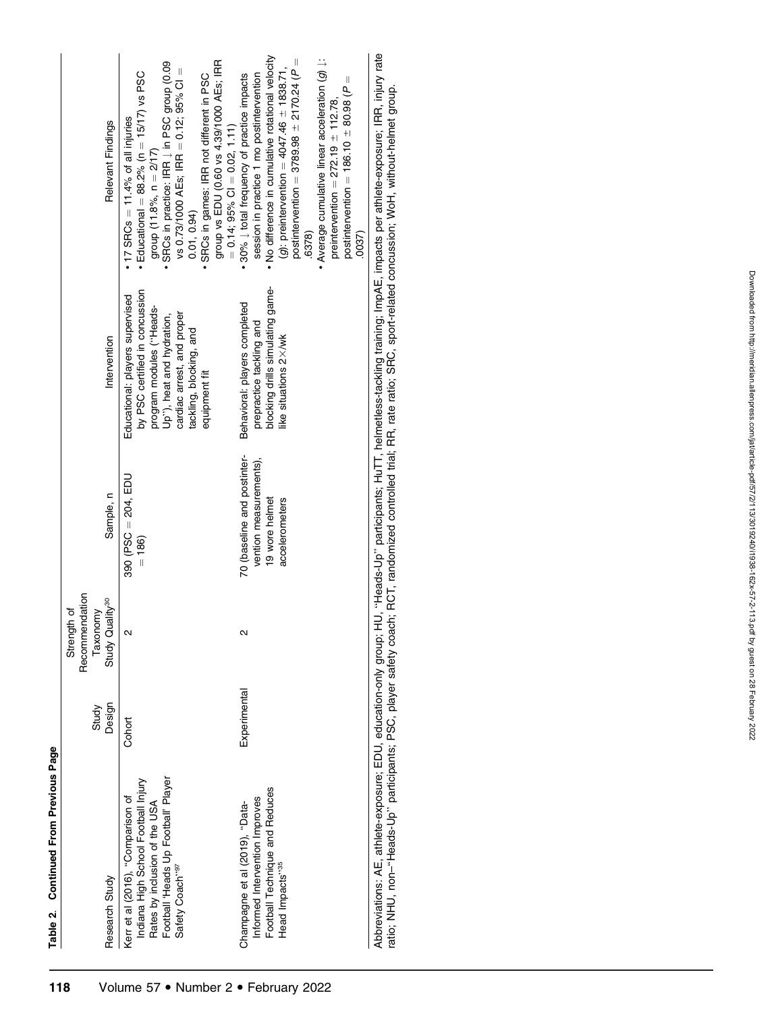Table 2. Continued From Previous Page Table 2. Continued From Previous Page

| Research Study                                                                                            | Design<br>Study | Recommendation<br>Study Quality <sup>30</sup><br>Strength of<br>Taxonomy | Sample, n                         | Intervention                                                                                  | Relevant Findings                                                                                                    |
|-----------------------------------------------------------------------------------------------------------|-----------------|--------------------------------------------------------------------------|-----------------------------------|-----------------------------------------------------------------------------------------------|----------------------------------------------------------------------------------------------------------------------|
|                                                                                                           |                 |                                                                          |                                   |                                                                                               |                                                                                                                      |
| Indiana High School Football Injury<br>Kerr et al (2016), "Comparison of<br>Rates by inclusion of the USA | Cohort          | $\overline{\mathsf{d}}$                                                  | 390 (PSC $= 204$ , EDL<br>$= 186$ | by PSC certified in concussion<br>Educational: players supervised<br>program modules ("Heads- | • Educational = $88.2\%$ (n = $15/17$ ) vs PSC<br>$17$ SRCs = 11.4% of all injuries<br>group $(11.8\%$ , $n = 2/17)$ |
| Football 'Heads Up Football' Player<br>Safety Coach"97                                                    |                 |                                                                          |                                   | cardiac arrest, and proper<br>Up"), heat and hydration,                                       | SRCs in practice: IRR   in PSC group (0.09<br>vs 0.73/1000 AEs; IRR = 0.12; 95% CI =                                 |
|                                                                                                           |                 |                                                                          |                                   | tackling, blocking, and                                                                       | 0.01, 0.94                                                                                                           |
|                                                                                                           |                 |                                                                          |                                   | equipment fit                                                                                 | group vs EDU (0.60 vs 4.39/1000 AEs; IRR<br>SRCs in games: IRR not different in PSC                                  |
|                                                                                                           |                 |                                                                          |                                   |                                                                                               | $= 0.14$ ; 95% CI $= 0.02$ , 1.11)                                                                                   |
| Champagne et al (2019), "Data-                                                                            | Experimental    | Ν                                                                        | 70 (baseline and postinter-       | Behavioral: players completed                                                                 | • 30% $\downarrow$ total frequency of practice impacts                                                               |
| Informed Intervention Improves                                                                            |                 |                                                                          | vention measurements),            | prepractice tackling and                                                                      | session in practice 1 mo postintervention                                                                            |
| Football Technique and Reduces                                                                            |                 |                                                                          | 19 wore helmet                    | blocking drills simulating game-                                                              | • No difference in cumulative rotational velocity                                                                    |
| Head Impacts" <sup>35</sup>                                                                               |                 |                                                                          | accelerometers                    | like situations 2×/wk                                                                         | ( <i>g</i> ): preintervention = 4047.46 $\pm$ 1838.71,                                                               |
|                                                                                                           |                 |                                                                          |                                   |                                                                                               | postintervention = 3789.98 $\pm$ 2170.24 (P =                                                                        |
|                                                                                                           |                 |                                                                          |                                   |                                                                                               | 6378)                                                                                                                |
|                                                                                                           |                 |                                                                          |                                   |                                                                                               | • Average cumulative linear acceleration $(g) \downarrow$ :                                                          |
|                                                                                                           |                 |                                                                          |                                   |                                                                                               | preintervention = $272.19 \pm 112.78$ ,                                                                              |
|                                                                                                           |                 |                                                                          |                                   |                                                                                               | postintervention = $186.10 \pm 80.98$ ( $P =$                                                                        |
|                                                                                                           |                 |                                                                          |                                   |                                                                                               | 0037                                                                                                                 |
| Abbreviations: AE athlete-exposure: EDU education-only aroup: HI                                          |                 |                                                                          |                                   |                                                                                               | Heads-University continuing the property of the property of the property of the property of the property of the      |

Abbreviations: AE, athlete-exposure; EDU, education-only group; HU, "Heads-Up" participants; Hu I , nelmetiess-tackling training; impAE, impacts per athlete-exposure; IHH, injury rate<br>ratio; NHU, non-"Heads-Up" participant Abbreviations: AE, athlete-exposure; EDU, education-only group; HU, ''Heads-Up'' participants; HuTT, helmetless-tackling training; ImpAE, impacts per athlete-exposure; IRR, injury rate ratio; NHU, non–''Heads-Up'' participants; PSC, player safety coach; RCT, randomized controlled trial; RR, rate ratio; SRC, sport-related concussion; WoH, without-helmet group.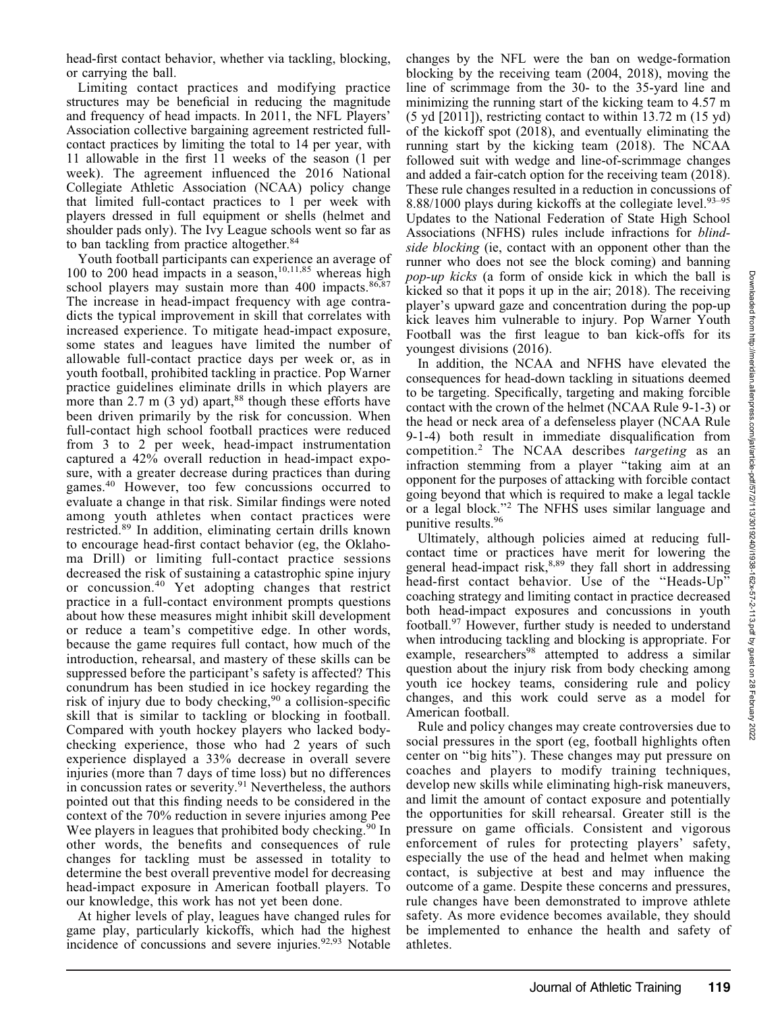Limiting contact practices and modifying practice structures may be beneficial in reducing the magnitude and frequency of head impacts. In 2011, the NFL Players' Association collective bargaining agreement restricted fullcontact practices by limiting the total to 14 per year, with 11 allowable in the first 11 weeks of the season (1 per week). The agreement influenced the 2016 National Collegiate Athletic Association (NCAA) policy change that limited full-contact practices to 1 per week with players dressed in full equipment or shells (helmet and shoulder pads only). The Ivy League schools went so far as to ban tackling from practice altogether.<sup>84</sup>

Youth football participants can experience an average of 100 to 200 head impacts in a season,<sup>10,11,85</sup> whereas high school players may sustain more than 400 impacts. $86,87$ The increase in head-impact frequency with age contradicts the typical improvement in skill that correlates with increased experience. To mitigate head-impact exposure, some states and leagues have limited the number of allowable full-contact practice days per week or, as in youth football, prohibited tackling in practice. Pop Warner practice guidelines eliminate drills in which players are more than  $2.7 \text{ m}$  (3 yd) apart,<sup>88</sup> though these efforts have been driven primarily by the risk for concussion. When full-contact high school football practices were reduced from 3 to 2 per week, head-impact instrumentation captured a 42% overall reduction in head-impact exposure, with a greater decrease during practices than during games.<sup>40</sup> However, too few concussions occurred to evaluate a change in that risk. Similar findings were noted among youth athletes when contact practices were restricted.<sup>89</sup> In addition, eliminating certain drills known to encourage head-first contact behavior (eg, the Oklahoma Drill) or limiting full-contact practice sessions decreased the risk of sustaining a catastrophic spine injury or concussion.<sup>40</sup> Yet adopting changes that restrict practice in a full-contact environment prompts questions about how these measures might inhibit skill development or reduce a team's competitive edge. In other words, because the game requires full contact, how much of the introduction, rehearsal, and mastery of these skills can be suppressed before the participant's safety is affected? This conundrum has been studied in ice hockey regarding the risk of injury due to body checking,  $90$  a collision-specific skill that is similar to tackling or blocking in football. Compared with youth hockey players who lacked bodychecking experience, those who had 2 years of such experience displayed a 33% decrease in overall severe injuries (more than 7 days of time loss) but no differences in concussion rates or severity.<sup>91</sup> Nevertheless, the authors pointed out that this finding needs to be considered in the context of the 70% reduction in severe injuries among Pee Wee players in leagues that prohibited body checking.<sup>90</sup> In other words, the benefits and consequences of rule changes for tackling must be assessed in totality to determine the best overall preventive model for decreasing head-impact exposure in American football players. To our knowledge, this work has not yet been done.

At higher levels of play, leagues have changed rules for game play, particularly kickoffs, which had the highest incidence of concussions and severe injuries.<sup>92,93</sup> Notable

changes by the NFL were the ban on wedge-formation blocking by the receiving team (2004, 2018), moving the line of scrimmage from the 30- to the 35-yard line and minimizing the running start of the kicking team to 4.57 m (5 yd [2011]), restricting contact to within 13.72 m (15 yd) of the kickoff spot (2018), and eventually eliminating the running start by the kicking team (2018). The NCAA followed suit with wedge and line-of-scrimmage changes and added a fair-catch option for the receiving team (2018). These rule changes resulted in a reduction in concussions of 8.88/1000 plays during kickoffs at the collegiate level.<sup>93–95</sup> Updates to the National Federation of State High School Associations (NFHS) rules include infractions for blindside blocking (ie, contact with an opponent other than the runner who does not see the block coming) and banning pop-up kicks (a form of onside kick in which the ball is kicked so that it pops it up in the air; 2018). The receiving player's upward gaze and concentration during the pop-up kick leaves him vulnerable to injury. Pop Warner Youth Football was the first league to ban kick-offs for its youngest divisions (2016).

In addition, the NCAA and NFHS have elevated the consequences for head-down tackling in situations deemed to be targeting. Specifically, targeting and making forcible contact with the crown of the helmet (NCAA Rule 9-1-3) or the head or neck area of a defenseless player (NCAA Rule 9-1-4) both result in immediate disqualification from competition.<sup>2</sup> The NCAA describes targeting as an infraction stemming from a player ''taking aim at an opponent for the purposes of attacking with forcible contact going beyond that which is required to make a legal tackle or a legal block.''<sup>2</sup> The NFHS uses similar language and punitive results.96

Ultimately, although policies aimed at reducing fullcontact time or practices have merit for lowering the general head-impact risk, $8,89$  they fall short in addressing head-first contact behavior. Use of the ''Heads-Up'' coaching strategy and limiting contact in practice decreased both head-impact exposures and concussions in youth football.97 However, further study is needed to understand when introducing tackling and blocking is appropriate. For example, researchers<sup>98</sup> attempted to address a similar question about the injury risk from body checking among youth ice hockey teams, considering rule and policy changes, and this work could serve as a model for American football.

Rule and policy changes may create controversies due to social pressures in the sport (eg, football highlights often center on ''big hits''). These changes may put pressure on coaches and players to modify training techniques, develop new skills while eliminating high-risk maneuvers, and limit the amount of contact exposure and potentially the opportunities for skill rehearsal. Greater still is the pressure on game officials. Consistent and vigorous enforcement of rules for protecting players' safety, especially the use of the head and helmet when making contact, is subjective at best and may influence the outcome of a game. Despite these concerns and pressures, rule changes have been demonstrated to improve athlete safety. As more evidence becomes available, they should be implemented to enhance the health and safety of athletes.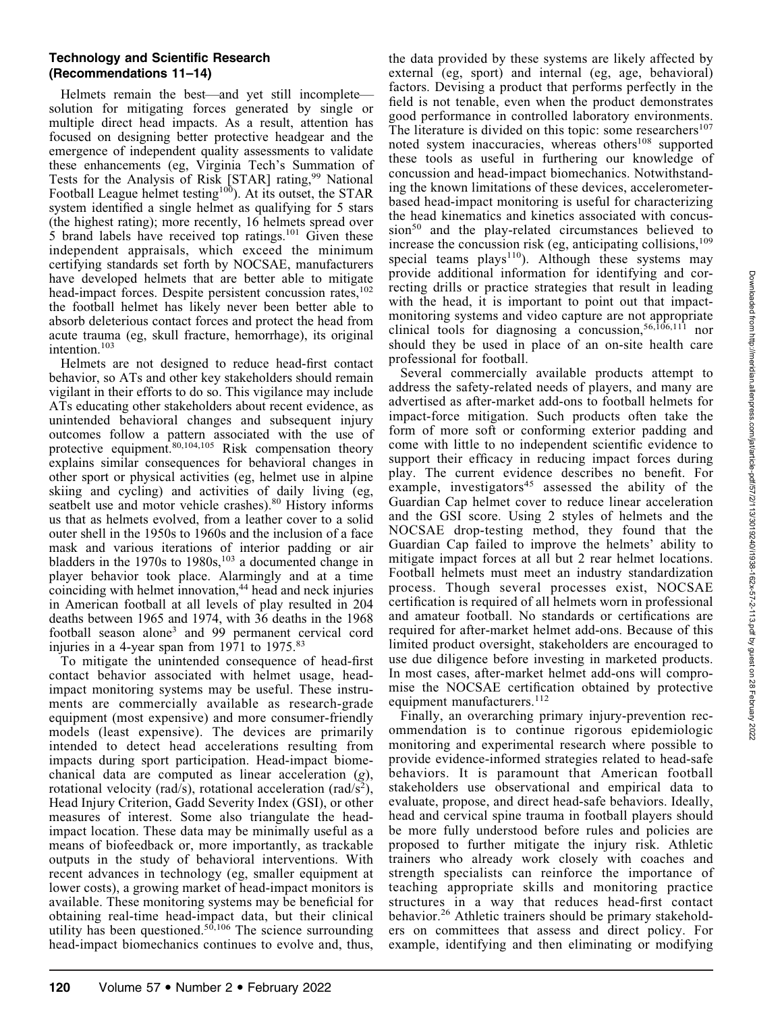## Technology and Scientific Research (Recommendations 11–14)

Helmets remain the best—and yet still incomplete solution for mitigating forces generated by single or multiple direct head impacts. As a result, attention has focused on designing better protective headgear and the emergence of independent quality assessments to validate these enhancements (eg, Virginia Tech's Summation of Tests for the Analysis of Risk [STAR] rating,<sup>99</sup> National Football League helmet testing<sup>100</sup>). At its outset, the STAR system identified a single helmet as qualifying for 5 stars (the highest rating); more recently, 16 helmets spread over 5 brand labels have received top ratings.101 Given these independent appraisals, which exceed the minimum certifying standards set forth by NOCSAE, manufacturers have developed helmets that are better able to mitigate head-impact forces. Despite persistent concussion rates,<sup>102</sup> the football helmet has likely never been better able to absorb deleterious contact forces and protect the head from acute trauma (eg, skull fracture, hemorrhage), its original intention.103

Helmets are not designed to reduce head-first contact behavior, so ATs and other key stakeholders should remain vigilant in their efforts to do so. This vigilance may include ATs educating other stakeholders about recent evidence, as unintended behavioral changes and subsequent injury outcomes follow a pattern associated with the use of protective equipment. $80,104,105$  Risk compensation theory explains similar consequences for behavioral changes in other sport or physical activities (eg, helmet use in alpine skiing and cycling) and activities of daily living (eg, seatbelt use and motor vehicle crashes).<sup>80</sup> History informs us that as helmets evolved, from a leather cover to a solid outer shell in the 1950s to 1960s and the inclusion of a face mask and various iterations of interior padding or air bladders in the 1970s to  $1980s$ ,<sup>103</sup> a documented change in player behavior took place. Alarmingly and at a time coinciding with helmet innovation,<sup>44</sup> head and neck injuries in American football at all levels of play resulted in 204 deaths between 1965 and 1974, with 36 deaths in the 1968 football season alone<sup>3</sup> and 99 permanent cervical cord injuries in a 4-year span from 1971 to 1975.<sup>83</sup>

To mitigate the unintended consequence of head-first contact behavior associated with helmet usage, headimpact monitoring systems may be useful. These instruments are commercially available as research-grade equipment (most expensive) and more consumer-friendly models (least expensive). The devices are primarily intended to detect head accelerations resulting from impacts during sport participation. Head-impact biomechanical data are computed as linear acceleration (g), rotational velocity (rad/s), rotational acceleration (rad/s<sup>2</sup>), Head Injury Criterion, Gadd Severity Index (GSI), or other measures of interest. Some also triangulate the headimpact location. These data may be minimally useful as a means of biofeedback or, more importantly, as trackable outputs in the study of behavioral interventions. With recent advances in technology (eg, smaller equipment at lower costs), a growing market of head-impact monitors is available. These monitoring systems may be beneficial for obtaining real-time head-impact data, but their clinical utility has been questioned.<sup>50,106</sup> The science surrounding head-impact biomechanics continues to evolve and, thus,

the data provided by these systems are likely affected by external (eg, sport) and internal (eg, age, behavioral) factors. Devising a product that performs perfectly in the field is not tenable, even when the product demonstrates good performance in controlled laboratory environments. The literature is divided on this topic: some researchers $107$ noted system inaccuracies, whereas others<sup>108</sup> supported these tools as useful in furthering our knowledge of concussion and head-impact biomechanics. Notwithstanding the known limitations of these devices, accelerometerbased head-impact monitoring is useful for characterizing the head kinematics and kinetics associated with concussion<sup>50</sup> and the play-related circumstances believed to increase the concussion risk (eg, anticipating collisions, $109$ ) special teams  $plays^{110}$ ). Although these systems may provide additional information for identifying and correcting drills or practice strategies that result in leading with the head, it is important to point out that impactmonitoring systems and video capture are not appropriate clinical tools for diagnosing a concussion,<sup>56,106,111</sup> nor should they be used in place of an on-site health care professional for football.

Several commercially available products attempt to address the safety-related needs of players, and many are advertised as after-market add-ons to football helmets for impact-force mitigation. Such products often take the form of more soft or conforming exterior padding and come with little to no independent scientific evidence to support their efficacy in reducing impact forces during play. The current evidence describes no benefit. For example, investigators<sup>45</sup> assessed the ability of the Guardian Cap helmet cover to reduce linear acceleration and the GSI score. Using 2 styles of helmets and the NOCSAE drop-testing method, they found that the Guardian Cap failed to improve the helmets' ability to mitigate impact forces at all but 2 rear helmet locations. Football helmets must meet an industry standardization process. Though several processes exist, NOCSAE certification is required of all helmets worn in professional and amateur football. No standards or certifications are required for after-market helmet add-ons. Because of this limited product oversight, stakeholders are encouraged to use due diligence before investing in marketed products. In most cases, after-market helmet add-ons will compromise the NOCSAE certification obtained by protective equipment manufacturers.<sup>112</sup>

Finally, an overarching primary injury-prevention recommendation is to continue rigorous epidemiologic monitoring and experimental research where possible to provide evidence-informed strategies related to head-safe behaviors. It is paramount that American football stakeholders use observational and empirical data to evaluate, propose, and direct head-safe behaviors. Ideally, head and cervical spine trauma in football players should be more fully understood before rules and policies are proposed to further mitigate the injury risk. Athletic trainers who already work closely with coaches and strength specialists can reinforce the importance of teaching appropriate skills and monitoring practice structures in a way that reduces head-first contact behavior.<sup>26</sup> Athletic trainers should be primary stakeholders on committees that assess and direct policy. For example, identifying and then eliminating or modifying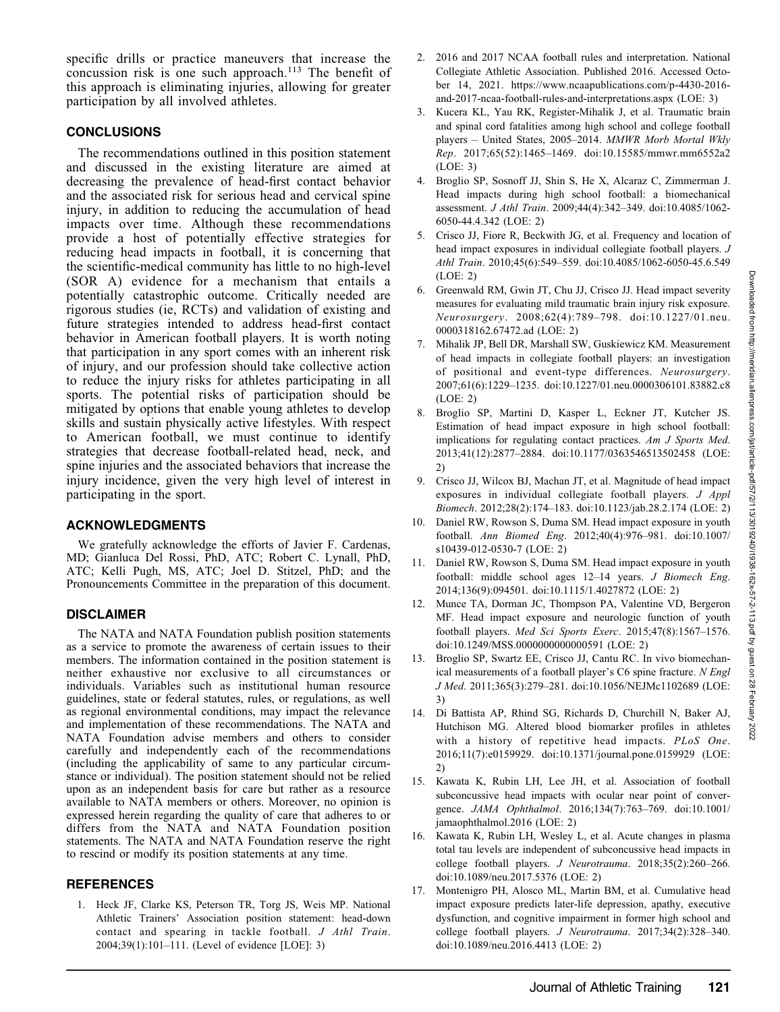specific drills or practice maneuvers that increase the concussion risk is one such approach.<sup>113</sup> The benefit of this approach is eliminating injuries, allowing for greater participation by all involved athletes.

## **CONCLUSIONS**

The recommendations outlined in this position statement and discussed in the existing literature are aimed at decreasing the prevalence of head-first contact behavior and the associated risk for serious head and cervical spine injury, in addition to reducing the accumulation of head impacts over time. Although these recommendations provide a host of potentially effective strategies for reducing head impacts in football, it is concerning that the scientific-medical community has little to no high-level (SOR A) evidence for a mechanism that entails a potentially catastrophic outcome. Critically needed are rigorous studies (ie, RCTs) and validation of existing and future strategies intended to address head-first contact behavior in American football players. It is worth noting that participation in any sport comes with an inherent risk of injury, and our profession should take collective action to reduce the injury risks for athletes participating in all sports. The potential risks of participation should be mitigated by options that enable young athletes to develop skills and sustain physically active lifestyles. With respect to American football, we must continue to identify strategies that decrease football-related head, neck, and spine injuries and the associated behaviors that increase the injury incidence, given the very high level of interest in participating in the sport.

# ACKNOWLEDGMENTS

We gratefully acknowledge the efforts of Javier F. Cardenas, MD; Gianluca Del Rossi, PhD, ATC; Robert C. Lynall, PhD, ATC; Kelli Pugh, MS, ATC; Joel D. Stitzel, PhD; and the Pronouncements Committee in the preparation of this document.

# DISCLAIMER

The NATA and NATA Foundation publish position statements as a service to promote the awareness of certain issues to their members. The information contained in the position statement is neither exhaustive nor exclusive to all circumstances or individuals. Variables such as institutional human resource guidelines, state or federal statutes, rules, or regulations, as well as regional environmental conditions, may impact the relevance and implementation of these recommendations. The NATA and NATA Foundation advise members and others to consider carefully and independently each of the recommendations (including the applicability of same to any particular circumstance or individual). The position statement should not be relied upon as an independent basis for care but rather as a resource available to NATA members or others. Moreover, no opinion is expressed herein regarding the quality of care that adheres to or differs from the NATA and NATA Foundation position statements. The NATA and NATA Foundation reserve the right to rescind or modify its position statements at any time.

# **REFERENCES**

1. Heck JF, Clarke KS, Peterson TR, Torg JS, Weis MP. National Athletic Trainers' Association position statement: head-down contact and spearing in tackle football. J Athl Train. 2004;39(1):101–111. (Level of evidence [LOE]: 3)

- 2. 2016 and 2017 NCAA football rules and interpretation. National Collegiate Athletic Association. Published 2016. Accessed October 14, 2021. https://www.ncaapublications.com/p-4430-2016 and-2017-ncaa-football-rules-and-interpretations.aspx (LOE: 3)
- 3. Kucera KL, Yau RK, Register-Mihalik J, et al. Traumatic brain and spinal cord fatalities among high school and college football players – United States, 2005–2014. MMWR Morb Mortal Wkly Rep. 2017;65(52):1465–1469. doi:10.15585/mmwr.mm6552a2 (LOE: 3)
- 4. Broglio SP, Sosnoff JJ, Shin S, He X, Alcaraz C, Zimmerman J. Head impacts during high school football: a biomechanical assessment. J Athl Train. 2009;44(4):342–349. doi:10.4085/1062- 6050-44.4.342 (LOE: 2)
- 5. Crisco JJ, Fiore R, Beckwith JG, et al. Frequency and location of head impact exposures in individual collegiate football players. J Athl Train. 2010;45(6):549–559. doi:10.4085/1062-6050-45.6.549 (LOE: 2)
- 6. Greenwald RM, Gwin JT, Chu JJ, Crisco JJ. Head impact severity measures for evaluating mild traumatic brain injury risk exposure. Neurosurgery. 2008;62(4):789–798. doi:10.1227/01.neu. 0000318162.67472.ad (LOE: 2)
- 7. Mihalik JP, Bell DR, Marshall SW, Guskiewicz KM. Measurement of head impacts in collegiate football players: an investigation of positional and event-type differences. Neurosurgery. 2007;61(6):1229–1235. doi:10.1227/01.neu.0000306101.83882.c8 (LOE: 2)
- 8. Broglio SP, Martini D, Kasper L, Eckner JT, Kutcher JS. Estimation of head impact exposure in high school football: implications for regulating contact practices. Am J Sports Med. 2013;41(12):2877–2884. doi:10.1177/0363546513502458 (LOE: 2)
- 9. Crisco JJ, Wilcox BJ, Machan JT, et al. Magnitude of head impact exposures in individual collegiate football players. J Appl Biomech. 2012;28(2):174–183. doi:10.1123/jab.28.2.174 (LOE: 2)
- 10. Daniel RW, Rowson S, Duma SM. Head impact exposure in youth football. Ann Biomed Eng. 2012;40(4):976–981. doi:10.1007/ s10439-012-0530-7 (LOE: 2)
- 11. Daniel RW, Rowson S, Duma SM. Head impact exposure in youth football: middle school ages 12–14 years. J Biomech Eng. 2014;136(9):094501. doi:10.1115/1.4027872 (LOE: 2)
- 12. Munce TA, Dorman JC, Thompson PA, Valentine VD, Bergeron MF. Head impact exposure and neurologic function of youth football players. Med Sci Sports Exerc. 2015;47(8):1567–1576. doi:10.1249/MSS.0000000000000591 (LOE: 2)
- 13. Broglio SP, Swartz EE, Crisco JJ, Cantu RC. In vivo biomechanical measurements of a football player's C6 spine fracture. N Engl J Med. 2011;365(3):279–281. doi:10.1056/NEJMc1102689 (LOE: 3)
- 14. Di Battista AP, Rhind SG, Richards D, Churchill N, Baker AJ, Hutchison MG. Altered blood biomarker profiles in athletes with a history of repetitive head impacts. PLoS One. 2016;11(7):e0159929. doi:10.1371/journal.pone.0159929 (LOE: 2)
- 15. Kawata K, Rubin LH, Lee JH, et al. Association of football subconcussive head impacts with ocular near point of convergence. JAMA Ophthalmol. 2016;134(7):763-769. doi:10.1001/ jamaophthalmol.2016 (LOE: 2)
- 16. Kawata K, Rubin LH, Wesley L, et al. Acute changes in plasma total tau levels are independent of subconcussive head impacts in college football players. J Neurotrauma. 2018;35(2):260–266. doi:10.1089/neu.2017.5376 (LOE: 2)
- 17. Montenigro PH, Alosco ML, Martin BM, et al. Cumulative head impact exposure predicts later-life depression, apathy, executive dysfunction, and cognitive impairment in former high school and college football players. J Neurotrauma. 2017;34(2):328–340. doi:10.1089/neu.2016.4413 (LOE: 2)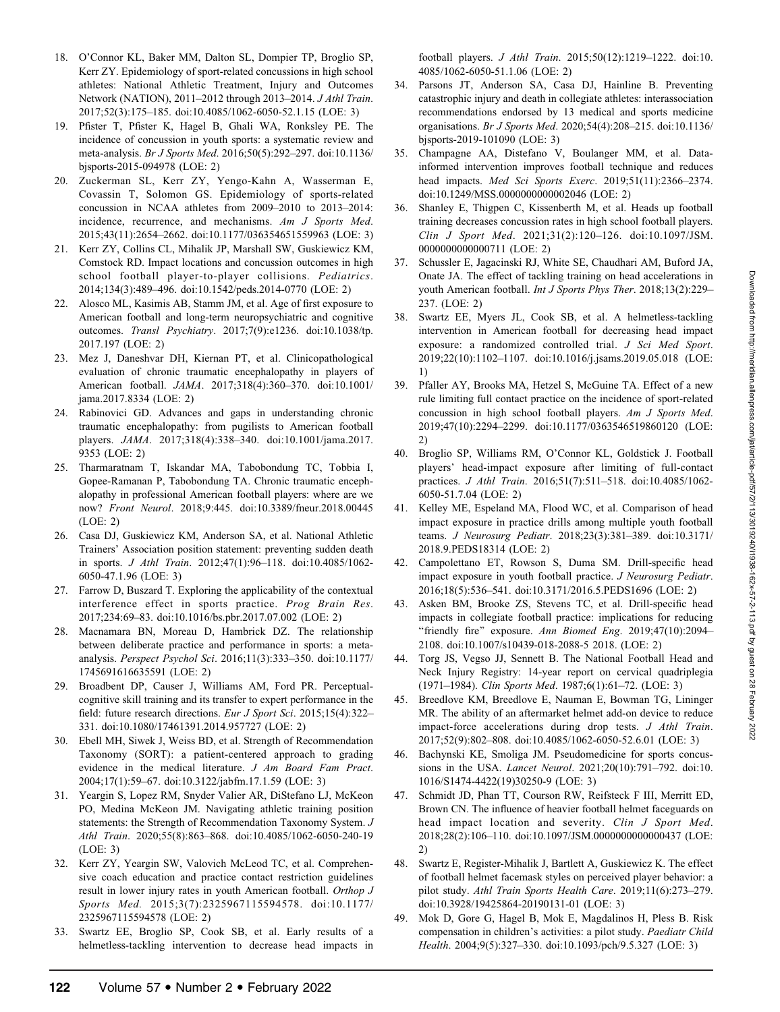- 18. O'Connor KL, Baker MM, Dalton SL, Dompier TP, Broglio SP, Kerr ZY. Epidemiology of sport-related concussions in high school athletes: National Athletic Treatment, Injury and Outcomes Network (NATION), 2011–2012 through 2013–2014. J Athl Train. 2017;52(3):175–185. doi:10.4085/1062-6050-52.1.15 (LOE: 3)
- 19. Pfister T, Pfister K, Hagel B, Ghali WA, Ronksley PE. The incidence of concussion in youth sports: a systematic review and meta-analysis. Br J Sports Med. 2016;50(5):292–297. doi:10.1136/ bjsports-2015-094978 (LOE: 2)
- 20. Zuckerman SL, Kerr ZY, Yengo-Kahn A, Wasserman E, Covassin T, Solomon GS. Epidemiology of sports-related concussion in NCAA athletes from 2009–2010 to 2013–2014: incidence, recurrence, and mechanisms. Am J Sports Med. 2015;43(11):2654–2662. doi:10.1177/036354651559963 (LOE: 3)
- 21. Kerr ZY, Collins CL, Mihalik JP, Marshall SW, Guskiewicz KM, Comstock RD. Impact locations and concussion outcomes in high school football player-to-player collisions. Pediatrics. 2014;134(3):489–496. doi:10.1542/peds.2014-0770 (LOE: 2)
- 22. Alosco ML, Kasimis AB, Stamm JM, et al. Age of first exposure to American football and long-term neuropsychiatric and cognitive outcomes. Transl Psychiatry. 2017;7(9):e1236. doi:10.1038/tp. 2017.197 (LOE: 2)
- 23. Mez J, Daneshvar DH, Kiernan PT, et al. Clinicopathological evaluation of chronic traumatic encephalopathy in players of American football. JAMA. 2017;318(4):360–370. doi:10.1001/ jama.2017.8334 (LOE: 2)
- 24. Rabinovici GD. Advances and gaps in understanding chronic traumatic encephalopathy: from pugilists to American football players. JAMA. 2017;318(4):338–340. doi:10.1001/jama.2017. 9353 (LOE: 2)
- 25. Tharmaratnam T, Iskandar MA, Tabobondung TC, Tobbia I, Gopee-Ramanan P, Tabobondung TA. Chronic traumatic encephalopathy in professional American football players: where are we now? Front Neurol. 2018;9:445. doi:10.3389/fneur.2018.00445 (LOE: 2)
- 26. Casa DJ, Guskiewicz KM, Anderson SA, et al. National Athletic Trainers' Association position statement: preventing sudden death in sports. J Athl Train. 2012;47(1):96–118. doi:10.4085/1062- 6050-47.1.96 (LOE: 3)
- 27. Farrow D, Buszard T. Exploring the applicability of the contextual interference effect in sports practice. Prog Brain Res. 2017;234:69–83. doi:10.1016/bs.pbr.2017.07.002 (LOE: 2)
- 28. Macnamara BN, Moreau D, Hambrick DZ. The relationship between deliberate practice and performance in sports: a metaanalysis. Perspect Psychol Sci. 2016;11(3):333–350. doi:10.1177/ 1745691616635591 (LOE: 2)
- 29. Broadbent DP, Causer J, Williams AM, Ford PR. Perceptualcognitive skill training and its transfer to expert performance in the field: future research directions. Eur J Sport Sci. 2015;15(4):322– 331. doi:10.1080/17461391.2014.957727 (LOE: 2)
- 30. Ebell MH, Siwek J, Weiss BD, et al. Strength of Recommendation Taxonomy (SORT): a patient-centered approach to grading evidence in the medical literature. J Am Board Fam Pract. 2004;17(1):59–67. doi:10.3122/jabfm.17.1.59 (LOE: 3)
- 31. Yeargin S, Lopez RM, Snyder Valier AR, DiStefano LJ, McKeon PO, Medina McKeon JM. Navigating athletic training position statements: the Strength of Recommendation Taxonomy System. J Athl Train. 2020;55(8):863–868. doi:10.4085/1062-6050-240-19 (LOE: 3)
- 32. Kerr ZY, Yeargin SW, Valovich McLeod TC, et al. Comprehensive coach education and practice contact restriction guidelines result in lower injury rates in youth American football. Orthop J Sports Med. 2015;3(7):2325967115594578. doi:10.1177/ 2325967115594578 (LOE: 2)
- 33. Swartz EE, Broglio SP, Cook SB, et al. Early results of a helmetless-tackling intervention to decrease head impacts in

football players. J Athl Train. 2015;50(12):1219–1222. doi:10. 4085/1062-6050-51.1.06 (LOE: 2)

- 34. Parsons JT, Anderson SA, Casa DJ, Hainline B. Preventing catastrophic injury and death in collegiate athletes: interassociation recommendations endorsed by 13 medical and sports medicine organisations. Br J Sports Med. 2020;54(4):208–215. doi:10.1136/ bjsports-2019-101090 (LOE: 3)
- 35. Champagne AA, Distefano V, Boulanger MM, et al. Datainformed intervention improves football technique and reduces head impacts. Med Sci Sports Exerc. 2019;51(11):2366–2374. doi:10.1249/MSS.0000000000002046 (LOE: 2)
- 36. Shanley E, Thigpen C, Kissenberth M, et al. Heads up football training decreases concussion rates in high school football players. Clin J Sport Med. 2021;31(2):120–126. doi:10.1097/JSM. 0000000000000711 (LOE: 2)
- 37. Schussler E, Jagacinski RJ, White SE, Chaudhari AM, Buford JA, Onate JA. The effect of tackling training on head accelerations in youth American football. Int J Sports Phys Ther. 2018;13(2):229-237. (LOE: 2)
- 38. Swartz EE, Myers JL, Cook SB, et al. A helmetless-tackling intervention in American football for decreasing head impact exposure: a randomized controlled trial. J Sci Med Sport. 2019;22(10):1102–1107. doi:10.1016/j.jsams.2019.05.018 (LOE: 1)
- 39. Pfaller AY, Brooks MA, Hetzel S, McGuine TA. Effect of a new rule limiting full contact practice on the incidence of sport-related concussion in high school football players. Am J Sports Med. 2019;47(10):2294–2299. doi:10.1177/0363546519860120 (LOE: 2)
- 40. Broglio SP, Williams RM, O'Connor KL, Goldstick J. Football players' head-impact exposure after limiting of full-contact practices. J Athl Train. 2016;51(7):511–518. doi:10.4085/1062- 6050-51.7.04 (LOE: 2)
- 41. Kelley ME, Espeland MA, Flood WC, et al. Comparison of head impact exposure in practice drills among multiple youth football teams. J Neurosurg Pediatr. 2018;23(3):381–389. doi:10.3171/ 2018.9.PEDS18314 (LOE: 2)
- 42. Campolettano ET, Rowson S, Duma SM. Drill-specific head impact exposure in youth football practice. J Neurosurg Pediatr. 2016;18(5):536–541. doi:10.3171/2016.5.PEDS1696 (LOE: 2)
- 43. Asken BM, Brooke ZS, Stevens TC, et al. Drill-specific head impacts in collegiate football practice: implications for reducing ''friendly fire'' exposure. Ann Biomed Eng. 2019;47(10):2094– 2108. doi:10.1007/s10439-018-2088-5 2018. (LOE: 2)
- 44. Torg JS, Vegso JJ, Sennett B. The National Football Head and Neck Injury Registry: 14-year report on cervical quadriplegia (1971–1984). Clin Sports Med. 1987;6(1):61–72. (LOE: 3)
- 45. Breedlove KM, Breedlove E, Nauman E, Bowman TG, Lininger MR. The ability of an aftermarket helmet add-on device to reduce impact-force accelerations during drop tests. J Athl Train. 2017;52(9):802–808. doi:10.4085/1062-6050-52.6.01 (LOE: 3)
- 46. Bachynski KE, Smoliga JM. Pseudomedicine for sports concussions in the USA. Lancet Neurol. 2021;20(10):791–792. doi:10. 1016/S1474-4422(19)30250-9 (LOE: 3)
- 47. Schmidt JD, Phan TT, Courson RW, Reifsteck F III, Merritt ED, Brown CN. The influence of heavier football helmet faceguards on head impact location and severity. Clin J Sport Med. 2018;28(2):106–110. doi:10.1097/JSM.0000000000000437 (LOE: 2)
- 48. Swartz E, Register-Mihalik J, Bartlett A, Guskiewicz K. The effect of football helmet facemask styles on perceived player behavior: a pilot study. Athl Train Sports Health Care. 2019;11(6):273–279. doi:10.3928/19425864-20190131-01 (LOE: 3)
- 49. Mok D, Gore G, Hagel B, Mok E, Magdalinos H, Pless B. Risk compensation in children's activities: a pilot study. Paediatr Child Health. 2004;9(5):327–330. doi:10.1093/pch/9.5.327 (LOE: 3)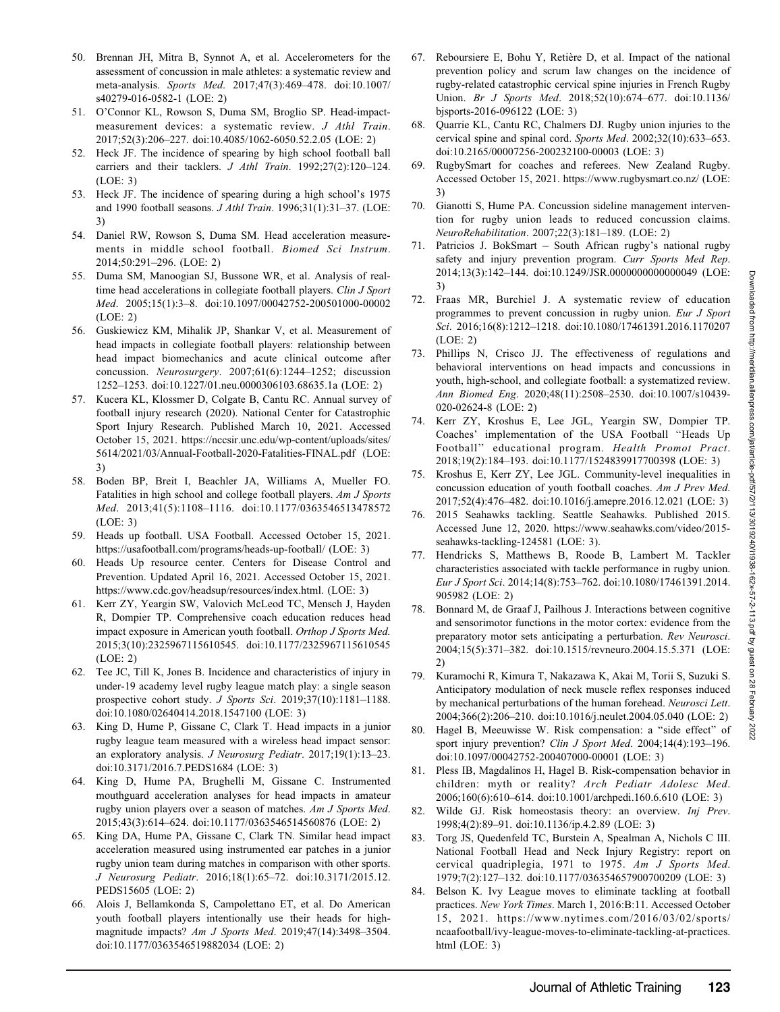- 50. Brennan JH, Mitra B, Synnot A, et al. Accelerometers for the assessment of concussion in male athletes: a systematic review and meta-analysis. Sports Med. 2017;47(3):469–478. doi:10.1007/ s40279-016-0582-1 (LOE: 2)
- 51. O'Connor KL, Rowson S, Duma SM, Broglio SP. Head-impactmeasurement devices: a systematic review. J Athl Train. 2017;52(3):206–227. doi:10.4085/1062-6050.52.2.05 (LOE: 2)
- 52. Heck JF. The incidence of spearing by high school football ball carriers and their tacklers. J Athl Train. 1992;27(2):120–124. (LOE: 3)
- 53. Heck JF. The incidence of spearing during a high school's 1975 and 1990 football seasons. J Athl Train. 1996;31(1):31–37. (LOE: 3)
- 54. Daniel RW, Rowson S, Duma SM. Head acceleration measurements in middle school football. Biomed Sci Instrum. 2014;50:291–296. (LOE: 2)
- 55. Duma SM, Manoogian SJ, Bussone WR, et al. Analysis of realtime head accelerations in collegiate football players. Clin J Sport Med. 2005;15(1):3–8. doi:10.1097/00042752-200501000-00002 (LOE: 2)
- 56. Guskiewicz KM, Mihalik JP, Shankar V, et al. Measurement of head impacts in collegiate football players: relationship between head impact biomechanics and acute clinical outcome after concussion. Neurosurgery. 2007;61(6):1244–1252; discussion 1252–1253. doi:10.1227/01.neu.0000306103.68635.1a (LOE: 2)
- 57. Kucera KL, Klossmer D, Colgate B, Cantu RC. Annual survey of football injury research (2020). National Center for Catastrophic Sport Injury Research. Published March 10, 2021. Accessed October 15, 2021. https://nccsir.unc.edu/wp-content/uploads/sites/ 5614/2021/03/Annual-Football-2020-Fatalities-FINAL.pdf (LOE: 3)
- 58. Boden BP, Breit I, Beachler JA, Williams A, Mueller FO. Fatalities in high school and college football players. Am J Sports Med. 2013;41(5):1108–1116. doi:10.1177/0363546513478572 (LOE: 3)
- 59. Heads up football. USA Football. Accessed October 15, 2021. https://usafootball.com/programs/heads-up-football/ (LOE: 3)
- 60. Heads Up resource center. Centers for Disease Control and Prevention. Updated April 16, 2021. Accessed October 15, 2021. https://www.cdc.gov/headsup/resources/index.html. (LOE: 3)
- 61. Kerr ZY, Yeargin SW, Valovich McLeod TC, Mensch J, Hayden R, Dompier TP. Comprehensive coach education reduces head impact exposure in American youth football. Orthop J Sports Med. 2015;3(10):2325967115610545. doi:10.1177/2325967115610545  $(LOE: 2)$
- 62. Tee JC, Till K, Jones B. Incidence and characteristics of injury in under-19 academy level rugby league match play: a single season prospective cohort study. J Sports Sci. 2019;37(10):1181-1188. doi:10.1080/02640414.2018.1547100 (LOE: 3)
- 63. King D, Hume P, Gissane C, Clark T. Head impacts in a junior rugby league team measured with a wireless head impact sensor: an exploratory analysis. J Neurosurg Pediatr. 2017;19(1):13–23. doi:10.3171/2016.7.PEDS1684 (LOE: 3)
- 64. King D, Hume PA, Brughelli M, Gissane C. Instrumented mouthguard acceleration analyses for head impacts in amateur rugby union players over a season of matches. Am J Sports Med. 2015;43(3):614–624. doi:10.1177/0363546514560876 (LOE: 2)
- 65. King DA, Hume PA, Gissane C, Clark TN. Similar head impact acceleration measured using instrumented ear patches in a junior rugby union team during matches in comparison with other sports. J Neurosurg Pediatr. 2016;18(1):65–72. doi:10.3171/2015.12. PEDS15605 (LOE: 2)
- 66. Alois J, Bellamkonda S, Campolettano ET, et al. Do American youth football players intentionally use their heads for highmagnitude impacts? Am J Sports Med. 2019;47(14):3498–3504. doi:10.1177/0363546519882034 (LOE: 2)
- 67. Reboursiere E, Bohu Y, Retiere D, et al. Impact of the national ` prevention policy and scrum law changes on the incidence of rugby-related catastrophic cervical spine injuries in French Rugby Union. Br J Sports Med. 2018;52(10):674–677. doi:10.1136/ bjsports-2016-096122 (LOE: 3)
- 68. Quarrie KL, Cantu RC, Chalmers DJ. Rugby union injuries to the cervical spine and spinal cord. Sports Med. 2002;32(10):633–653. doi:10.2165/00007256-200232100-00003 (LOE: 3)
- RugbySmart for coaches and referees. New Zealand Rugby. Accessed October 15, 2021. https://www.rugbysmart.co.nz/ (LOE: 3)
- 70. Gianotti S, Hume PA. Concussion sideline management intervention for rugby union leads to reduced concussion claims. NeuroRehabilitation. 2007;22(3):181–189. (LOE: 2)
- 71. Patricios J. BokSmart South African rugby's national rugby safety and injury prevention program. Curr Sports Med Rep. 2014;13(3):142–144. doi:10.1249/JSR.0000000000000049 (LOE: 3)
- 72. Fraas MR, Burchiel J. A systematic review of education programmes to prevent concussion in rugby union. Eur J Sport Sci. 2016;16(8):1212–1218. doi:10.1080/17461391.2016.1170207 (LOE: 2)
- 73. Phillips N, Crisco JJ. The effectiveness of regulations and behavioral interventions on head impacts and concussions in youth, high-school, and collegiate football: a systematized review. Ann Biomed Eng. 2020;48(11):2508–2530. doi:10.1007/s10439- 020-02624-8 (LOE: 2)
- 74. Kerr ZY, Kroshus E, Lee JGL, Yeargin SW, Dompier TP. Coaches' implementation of the USA Football ''Heads Up Football'' educational program. Health Promot Pract. 2018;19(2):184–193. doi:10.1177/1524839917700398 (LOE: 3)
- 75. Kroshus E, Kerr ZY, Lee JGL. Community-level inequalities in concussion education of youth football coaches. Am J Prev Med. 2017;52(4):476–482. doi:10.1016/j.amepre.2016.12.021 (LOE: 3)
- 76. 2015 Seahawks tackling. Seattle Seahawks. Published 2015. Accessed June 12, 2020. https://www.seahawks.com/video/2015 seahawks-tackling-124581 (LOE: 3).
- Hendricks S, Matthews B, Roode B, Lambert M. Tackler characteristics associated with tackle performance in rugby union. Eur J Sport Sci. 2014;14(8):753–762. doi:10.1080/17461391.2014. 905982 (LOE: 2)
- 78. Bonnard M, de Graaf J, Pailhous J. Interactions between cognitive and sensorimotor functions in the motor cortex: evidence from the preparatory motor sets anticipating a perturbation. Rev Neurosci. 2004;15(5):371–382. doi:10.1515/revneuro.2004.15.5.371 (LOE: 2)
- 79. Kuramochi R, Kimura T, Nakazawa K, Akai M, Torii S, Suzuki S. Anticipatory modulation of neck muscle reflex responses induced by mechanical perturbations of the human forehead. Neurosci Lett. 2004;366(2):206–210. doi:10.1016/j.neulet.2004.05.040 (LOE: 2)
- 80. Hagel B, Meeuwisse W. Risk compensation: a ''side effect'' of sport injury prevention? Clin J Sport Med. 2004;14(4):193-196. doi:10.1097/00042752-200407000-00001 (LOE: 3)
- 81. Pless IB, Magdalinos H, Hagel B. Risk-compensation behavior in children: myth or reality? Arch Pediatr Adolesc Med. 2006;160(6):610–614. doi:10.1001/archpedi.160.6.610 (LOE: 3)
- 82. Wilde GJ. Risk homeostasis theory: an overview. Inj Prev. 1998;4(2):89–91. doi:10.1136/ip.4.2.89 (LOE: 3)
- 83. Torg JS, Quedenfeld TC, Burstein A, Spealman A, Nichols C III. National Football Head and Neck Injury Registry: report on cervical quadriplegia, 1971 to 1975. Am J Sports Med. 1979;7(2):127–132. doi:10.1177/036354657900700209 (LOE: 3)
- 84. Belson K. Ivy League moves to eliminate tackling at football practices. New York Times. March 1, 2016:B:11. Accessed October 15, 2021. https://www.nytimes.com/2016/03/02/sports/ ncaafootball/ivy-league-moves-to-eliminate-tackling-at-practices. html (LOE: 3)